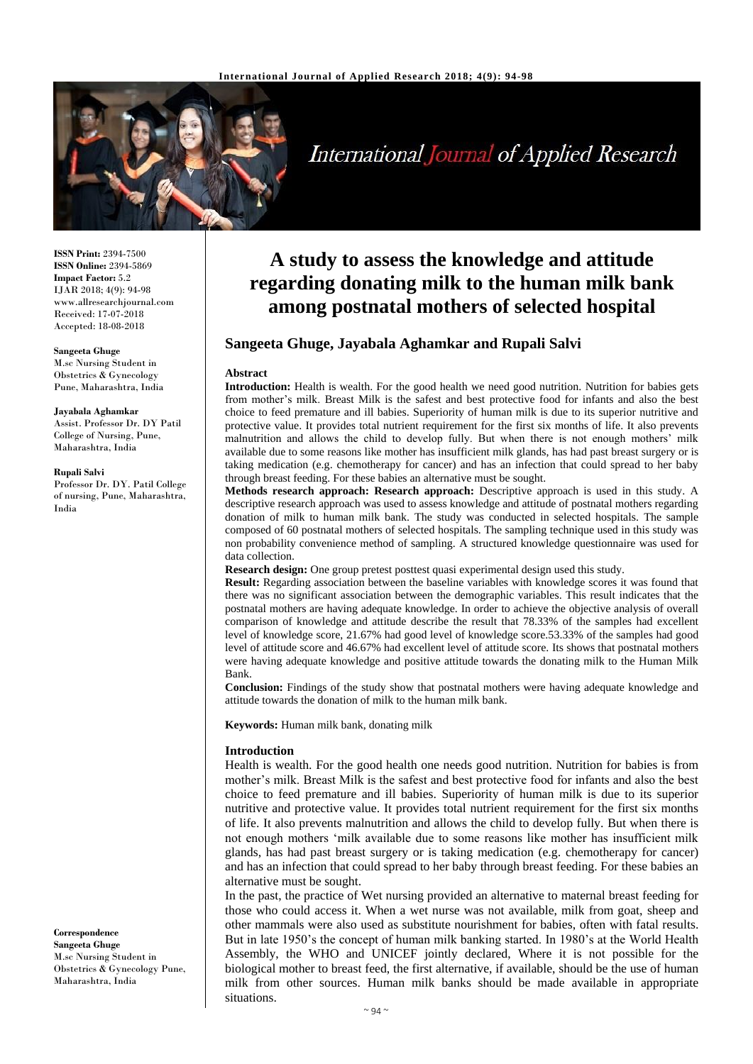

# **International Journal of Applied Research**

**ISSN Print:** 2394-7500 **ISSN Online:** 2394-5869 **Impact Factor:** 5.2 IJAR 2018; 4(9): 94-98 www.allresearchjournal.com Received: 17-07-2018 Accepted: 18-08-2018

#### **Sangeeta Ghuge**

M.sc Nursing Student in Obstetrics & Gynecology Pune, Maharashtra, India

#### **Jayabala Aghamkar**

Assist. Professor Dr. DY Patil College of Nursing, Pune, Maharashtra, India

#### **Rupali Salvi**

Professor Dr. DY. Patil College of nursing, Pune, Maharashtra, India

**Correspondence Sangeeta Ghuge** M.sc Nursing Student in Obstetrics & Gynecology Pune, Maharashtra, India

## **A study to assess the knowledge and attitude regarding donating milk to the human milk bank among postnatal mothers of selected hospital**

## **Sangeeta Ghuge, Jayabala Aghamkar and Rupali Salvi**

#### **Abstract**

**Introduction:** Health is wealth. For the good health we need good nutrition. Nutrition for babies gets from mother's milk. Breast Milk is the safest and best protective food for infants and also the best choice to feed premature and ill babies. Superiority of human milk is due to its superior nutritive and protective value. It provides total nutrient requirement for the first six months of life. It also prevents malnutrition and allows the child to develop fully. But when there is not enough mothers' milk available due to some reasons like mother has insufficient milk glands, has had past breast surgery or is taking medication (e.g. chemotherapy for cancer) and has an infection that could spread to her baby through breast feeding. For these babies an alternative must be sought.

**Methods research approach: Research approach:** Descriptive approach is used in this study. A descriptive research approach was used to assess knowledge and attitude of postnatal mothers regarding donation of milk to human milk bank. The study was conducted in selected hospitals. The sample composed of 60 postnatal mothers of selected hospitals. The sampling technique used in this study was non probability convenience method of sampling. A structured knowledge questionnaire was used for data collection.

**Research design:** One group pretest posttest quasi experimental design used this study.

**Result:** Regarding association between the baseline variables with knowledge scores it was found that there was no significant association between the demographic variables. This result indicates that the postnatal mothers are having adequate knowledge. In order to achieve the objective analysis of overall comparison of knowledge and attitude describe the result that 78.33% of the samples had excellent level of knowledge score, 21.67% had good level of knowledge score.53.33% of the samples had good level of attitude score and 46.67% had excellent level of attitude score. Its shows that postnatal mothers were having adequate knowledge and positive attitude towards the donating milk to the Human Milk Bank.

**Conclusion:** Findings of the study show that postnatal mothers were having adequate knowledge and attitude towards the donation of milk to the human milk bank.

**Keywords:** Human milk bank, donating milk

#### **Introduction**

Health is wealth. For the good health one needs good nutrition. Nutrition for babies is from mother's milk. Breast Milk is the safest and best protective food for infants and also the best choice to feed premature and ill babies. Superiority of human milk is due to its superior nutritive and protective value. It provides total nutrient requirement for the first six months of life. It also prevents malnutrition and allows the child to develop fully. But when there is not enough mothers 'milk available due to some reasons like mother has insufficient milk glands, has had past breast surgery or is taking medication (e.g. chemotherapy for cancer) and has an infection that could spread to her baby through breast feeding. For these babies an alternative must be sought.

In the past, the practice of Wet nursing provided an alternative to maternal breast feeding for those who could access it. When a wet nurse was not available, milk from goat, sheep and other mammals were also used as substitute nourishment for babies, often with fatal results. But in late 1950's the concept of human milk banking started. In 1980's at the World Health Assembly, the WHO and UNICEF jointly declared, Where it is not possible for the biological mother to breast feed, the first alternative, if available, should be the use of human milk from other sources. Human milk banks should be made available in appropriate situations.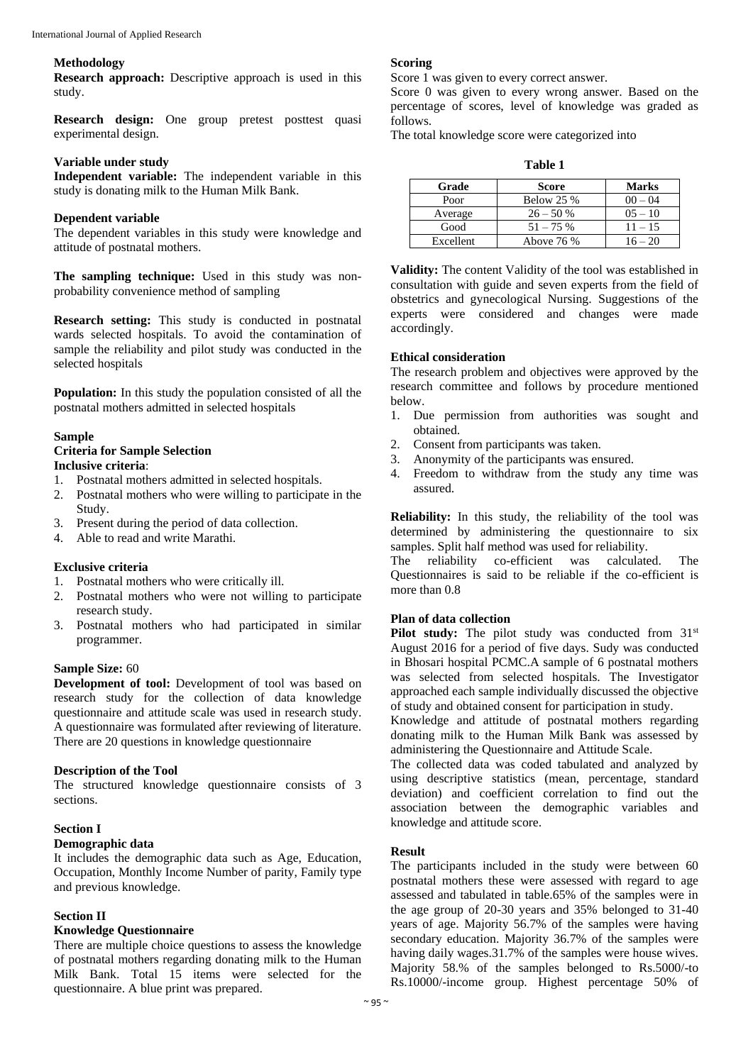#### **Methodology**

**Research approach:** Descriptive approach is used in this study.

**Research design:** One group pretest posttest quasi experimental design.

## **Variable under study**

**Independent variable:** The independent variable in this study is donating milk to the Human Milk Bank.

## **Dependent variable**

The dependent variables in this study were knowledge and attitude of postnatal mothers.

**The sampling technique:** Used in this study was nonprobability convenience method of sampling

**Research setting:** This study is conducted in postnatal wards selected hospitals. To avoid the contamination of sample the reliability and pilot study was conducted in the selected hospitals

**Population:** In this study the population consisted of all the postnatal mothers admitted in selected hospitals

## **Sample**

#### **Criteria for Sample Selection Inclusive criteria**:

- 1. Postnatal mothers admitted in selected hospitals.
- 2. Postnatal mothers who were willing to participate in the Study.
- 3. Present during the period of data collection.
- 4. Able to read and write Marathi.

### **Exclusive criteria**

- 1. Postnatal mothers who were critically ill.
- 2. Postnatal mothers who were not willing to participate research study.
- 3. Postnatal mothers who had participated in similar programmer.

### **Sample Size:** 60

**Development of tool:** Development of tool was based on research study for the collection of data knowledge questionnaire and attitude scale was used in research study. A questionnaire was formulated after reviewing of literature. There are 20 questions in knowledge questionnaire

#### **Description of the Tool**

The structured knowledge questionnaire consists of 3 sections.

## **Section I**

#### **Demographic data**

It includes the demographic data such as Age, Education, Occupation, Monthly Income Number of parity, Family type and previous knowledge.

#### **Section II**

## **Knowledge Questionnaire**

There are multiple choice questions to assess the knowledge of postnatal mothers regarding donating milk to the Human Milk Bank. Total 15 items were selected for the questionnaire. A blue print was prepared.

#### **Scoring**

Score 1 was given to every correct answer.

Score 0 was given to every wrong answer. Based on the percentage of scores, level of knowledge was graded as follows.

The total knowledge score were categorized into

| v<br>I<br>۰,<br>×<br>×<br>I |  |
|-----------------------------|--|
|-----------------------------|--|

| Grade     | <b>Score</b>      | <b>Marks</b> |
|-----------|-------------------|--------------|
| Poor      | <b>Below 25 %</b> | $00 - 04$    |
| Average   | $26 - 50%$        | $0.5 - 10$   |
| Good      | $51 - 75%$        | $11 - 15$    |
| Excellent | Above 76 %        | $16 - 20$    |

**Validity:** The content Validity of the tool was established in consultation with guide and seven experts from the field of obstetrics and gynecological Nursing. Suggestions of the experts were considered and changes were made accordingly.

#### **Ethical consideration**

The research problem and objectives were approved by the research committee and follows by procedure mentioned below.

- 1. Due permission from authorities was sought and obtained.
- 2. Consent from participants was taken.
- 3. Anonymity of the participants was ensured.
- 4. Freedom to withdraw from the study any time was assured.

**Reliability:** In this study, the reliability of the tool was determined by administering the questionnaire to six samples. Split half method was used for reliability.

The reliability co-efficient was calculated. The Questionnaires is said to be reliable if the co-efficient is more than 0.8

## **Plan of data collection**

Pilot study: The pilot study was conducted from 31<sup>st</sup> August 2016 for a period of five days. Sudy was conducted in Bhosari hospital PCMC.A sample of 6 postnatal mothers was selected from selected hospitals. The Investigator approached each sample individually discussed the objective of study and obtained consent for participation in study.

Knowledge and attitude of postnatal mothers regarding donating milk to the Human Milk Bank was assessed by administering the Questionnaire and Attitude Scale.

The collected data was coded tabulated and analyzed by using descriptive statistics (mean, percentage, standard deviation) and coefficient correlation to find out the association between the demographic variables and knowledge and attitude score.

#### **Result**

The participants included in the study were between 60 postnatal mothers these were assessed with regard to age assessed and tabulated in table.65% of the samples were in the age group of 20-30 years and 35% belonged to 31-40 years of age. Majority 56.7% of the samples were having secondary education. Majority 36.7% of the samples were having daily wages.31.7% of the samples were house wives. Majority 58.% of the samples belonged to Rs.5000/-to Rs.10000/-income group. Highest percentage 50% of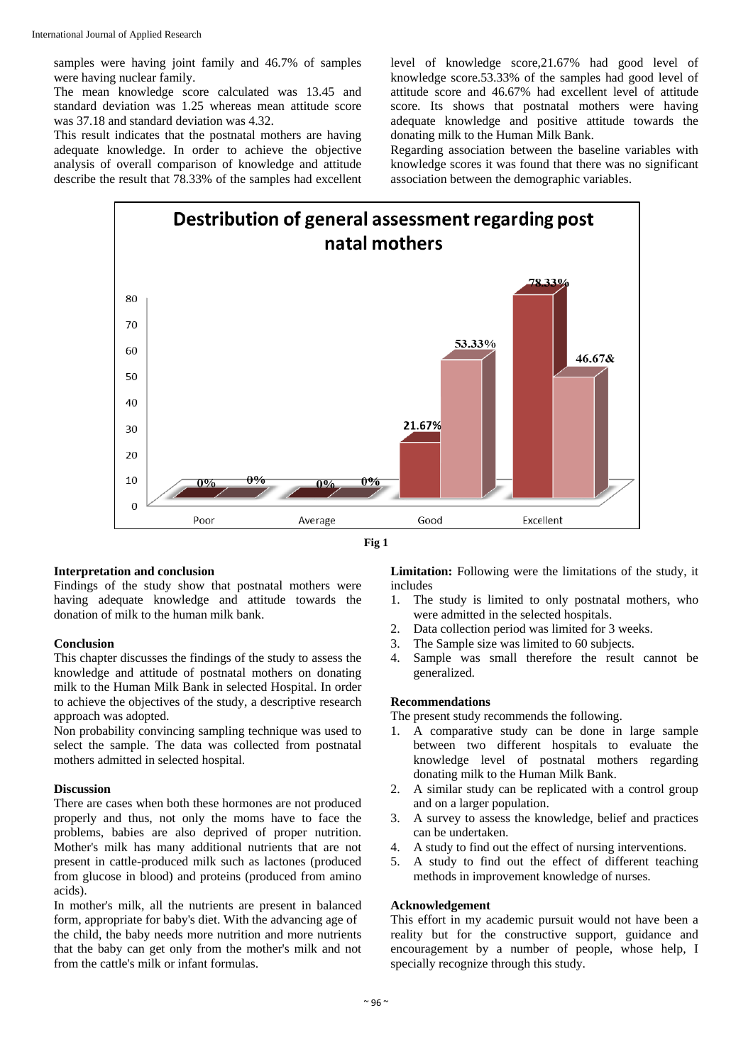samples were having joint family and 46.7% of samples were having nuclear family.

The mean knowledge score calculated was 13.45 and standard deviation was 1.25 whereas mean attitude score was 37.18 and standard deviation was 4.32.

This result indicates that the postnatal mothers are having adequate knowledge. In order to achieve the objective analysis of overall comparison of knowledge and attitude describe the result that 78.33% of the samples had excellent level of knowledge score,21.67% had good level of knowledge score.53.33% of the samples had good level of attitude score and 46.67% had excellent level of attitude score. Its shows that postnatal mothers were having adequate knowledge and positive attitude towards the donating milk to the Human Milk Bank.

Regarding association between the baseline variables with knowledge scores it was found that there was no significant association between the demographic variables.





#### **Interpretation and conclusion**

Findings of the study show that postnatal mothers were having adequate knowledge and attitude towards the donation of milk to the human milk bank.

## **Conclusion**

This chapter discusses the findings of the study to assess the knowledge and attitude of postnatal mothers on donating milk to the Human Milk Bank in selected Hospital. In order to achieve the objectives of the study, a descriptive research approach was adopted.

Non probability convincing sampling technique was used to select the sample. The data was collected from postnatal mothers admitted in selected hospital.

#### **Discussion**

There are cases when both these hormones are not produced properly and thus, not only the moms have to face the problems, babies are also deprived of proper nutrition. Mother's milk has many additional nutrients that are not present in cattle-produced milk such as lactones (produced from glucose in blood) and proteins (produced from amino acids).

In mother's milk, all the nutrients are present in balanced form, appropriate for baby's diet. With the advancing age of the child, the baby needs more nutrition and more nutrients that the baby can get only from the mother's milk and not from the cattle's milk or infant formulas.

**Limitation:** Following were the limitations of the study, it includes

- 1. The study is limited to only postnatal mothers, who were admitted in the selected hospitals.
- 2. Data collection period was limited for 3 weeks.
- 3. The Sample size was limited to 60 subjects.
- 4. Sample was small therefore the result cannot be generalized.

### **Recommendations**

The present study recommends the following.

- 1. A comparative study can be done in large sample between two different hospitals to evaluate the knowledge level of postnatal mothers regarding donating milk to the Human Milk Bank.
- 2. A similar study can be replicated with a control group and on a larger population.
- 3. A survey to assess the knowledge, belief and practices can be undertaken.
- 4. A study to find out the effect of nursing interventions.
- 5. A study to find out the effect of different teaching methods in improvement knowledge of nurses.

## **Acknowledgement**

This effort in my academic pursuit would not have been a reality but for the constructive support, guidance and encouragement by a number of people, whose help, I specially recognize through this study.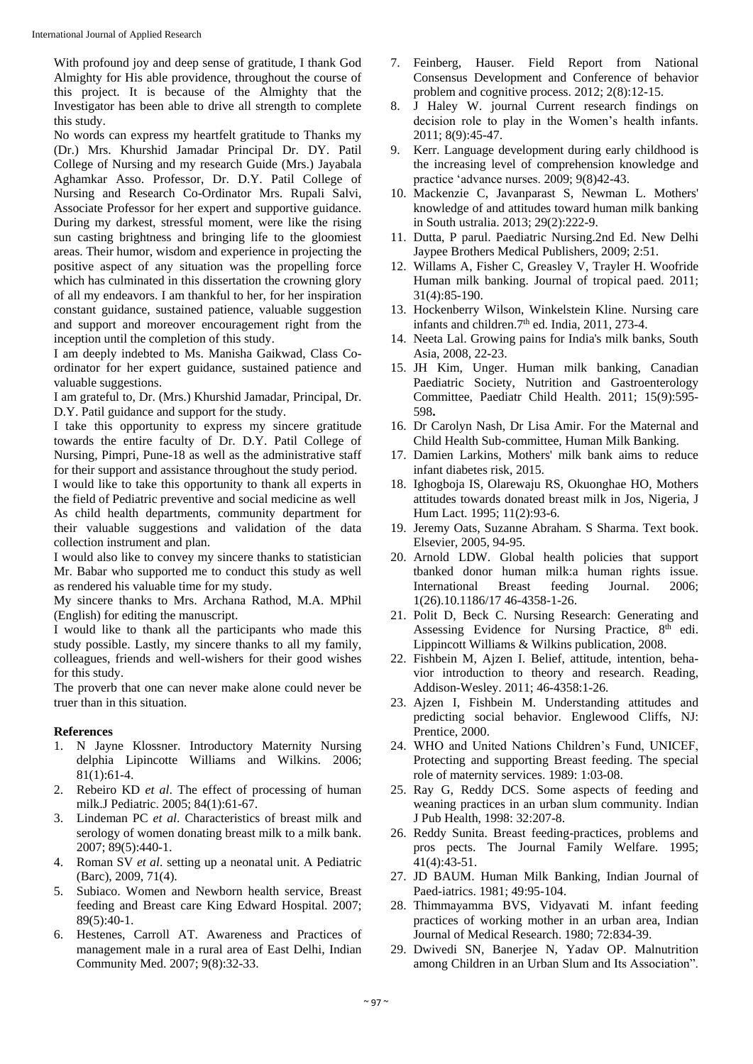With profound joy and deep sense of gratitude, I thank God Almighty for His able providence, throughout the course of this project. It is because of the Almighty that the Investigator has been able to drive all strength to complete this study.

No words can express my heartfelt gratitude to Thanks my (Dr.) Mrs. Khurshid Jamadar Principal Dr. DY. Patil College of Nursing and my research Guide (Mrs.) Jayabala Aghamkar Asso. Professor, Dr. D.Y. Patil College of Nursing and Research Co-Ordinator Mrs. Rupali Salvi, Associate Professor for her expert and supportive guidance. During my darkest, stressful moment, were like the rising sun casting brightness and bringing life to the gloomiest areas. Their humor, wisdom and experience in projecting the positive aspect of any situation was the propelling force which has culminated in this dissertation the crowning glory of all my endeavors. I am thankful to her, for her inspiration constant guidance, sustained patience, valuable suggestion and support and moreover encouragement right from the inception until the completion of this study.

I am deeply indebted to Ms. Manisha Gaikwad, Class Coordinator for her expert guidance, sustained patience and valuable suggestions.

I am grateful to, Dr. (Mrs.) Khurshid Jamadar, Principal, Dr. D.Y. Patil guidance and support for the study.

I take this opportunity to express my sincere gratitude towards the entire faculty of Dr. D.Y. Patil College of Nursing, Pimpri, Pune-18 as well as the administrative staff for their support and assistance throughout the study period. I would like to take this opportunity to thank all experts in

the field of Pediatric preventive and social medicine as well As child health departments, community department for their valuable suggestions and validation of the data collection instrument and plan.

I would also like to convey my sincere thanks to statistician Mr. Babar who supported me to conduct this study as well as rendered his valuable time for my study.

My sincere thanks to Mrs. Archana Rathod, M.A. MPhil (English) for editing the manuscript.

I would like to thank all the participants who made this study possible. Lastly, my sincere thanks to all my family, colleagues, friends and well-wishers for their good wishes for this study.

The proverb that one can never make alone could never be truer than in this situation.

## **References**

- 1. N Jayne Klossner. Introductory Maternity Nursing delphia Lipincotte Williams and Wilkins. 2006; 81(1):61-4.
- 2. Rebeiro KD *et al*. The effect of processing of human milk.J Pediatric. 2005; 84(1):61-67.
- 3. Lindeman PC *et al*. Characteristics of breast milk and serology of women donating breast milk to a milk bank. 2007; 89(5):440-1.
- 4. Roman SV *et al*. setting up a neonatal unit. A Pediatric (Barc), 2009, 71(4).
- 5. Subiaco. Women and Newborn health service, Breast feeding and Breast care King Edward Hospital. 2007; 89(5):40-1.
- 6. Hestenes, Carroll AT. Awareness and Practices of management male in a rural area of East Delhi, Indian Community Med. 2007; 9(8):32-33.
- 7. Feinberg, Hauser. Field Report from National Consensus Development and Conference of behavior problem and cognitive process. 2012; 2(8):12-15.
- 8. J Haley W. journal Current research findings on decision role to play in the Women's health infants. 2011; 8(9):45-47.
- 9. Kerr. Language development during early childhood is the increasing level of comprehension knowledge and practice 'advance nurses. 2009; 9(8)42-43.
- 10. Mackenzie C, Javanparast S, Newman L. Mothers' knowledge of and attitudes toward human milk banking in South ustralia. 2013; 29(2):222-9.
- 11. Dutta, P parul. Paediatric Nursing.2nd Ed. New Delhi Jaypee Brothers Medical Publishers, 2009; 2:51.
- 12. Willams A, Fisher C, Greasley V, Trayler H. Woofride Human milk banking. Journal of tropical paed. 2011; 31(4):85-190.
- 13. Hockenberry Wilson, Winkelstein Kline. Nursing care infants and children.7<sup>th</sup> ed. India, 2011, 273-4.
- 14. Neeta Lal. Growing pains for India's milk banks, South Asia, 2008, 22-23.
- 15. JH Kim, Unger. Human milk banking, Canadian Paediatric Society, Nutrition and Gastroenterology Committee, Paediatr Child Health. 2011; 15(9):595- 598**.**
- 16. Dr Carolyn Nash, Dr Lisa Amir. For the Maternal and Child Health Sub-committee, Human Milk Banking.
- 17. Damien Larkins, Mothers' milk bank aims to reduce infant diabetes risk, 2015.
- 18. Ighogboja IS, Olarewaju RS, Okuonghae HO, Mothers attitudes towards donated breast milk in Jos, Nigeria, J Hum Lact. 1995; 11(2):93-6.
- 19. Jeremy Oats, Suzanne Abraham. S Sharma. Text book. Elsevier, 2005, 94-95.
- 20. Arnold LDW. Global health policies that support tbanked donor human milk:a human rights issue. International Breast feeding Journal. 2006; 1(26).10.1186/17 46-4358-1-26.
- 21. Polit D, Beck C. Nursing Research: Generating and Assessing Evidence for Nursing Practice, 8<sup>th</sup> edi. Lippincott Williams & Wilkins publication, 2008.
- 22. Fishbein M, Ajzen I. Belief, attitude, intention, behavior introduction to theory and research. Reading, Addison-Wesley. 2011; 46-4358:1-26.
- 23. Ajzen I, Fishbein M. Understanding attitudes and predicting social behavior. Englewood Cliffs, NJ: Prentice, 2000.
- 24. WHO and United Nations Children's Fund, UNICEF, Protecting and supporting Breast feeding. The special role of maternity services. 1989: 1:03-08.
- 25. Ray G, Reddy DCS. Some aspects of feeding and weaning practices in an urban slum community. Indian J Pub Health, 1998: 32:207-8.
- 26. Reddy Sunita. Breast feeding-practices, problems and pros pects. The Journal Family Welfare. 1995; 41(4):43-51.
- 27. JD BAUM. Human Milk Banking, Indian Journal of Paed-iatrics. 1981; 49:95-104.
- 28. Thimmayamma BVS, Vidyavati M. infant feeding practices of working mother in an urban area, Indian Journal of Medical Research. 1980; 72:834-39.
- 29. Dwivedi SN, Banerjee N, Yadav OP. Malnutrition among Children in an Urban Slum and Its Association".